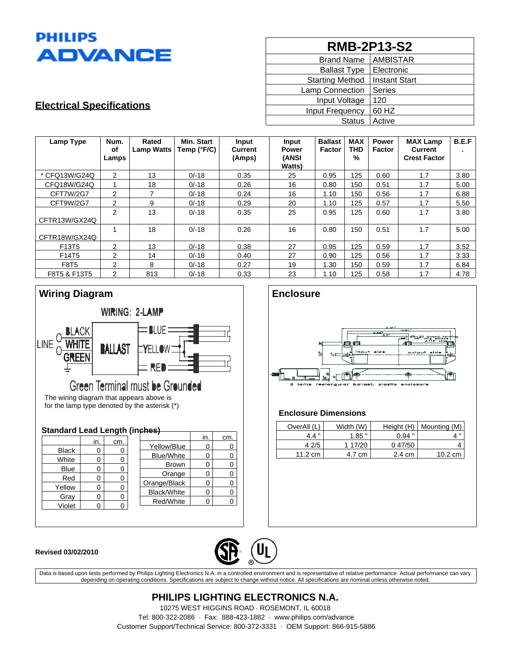# **PHILIPS ADVANCE**

| <b>RMB-2P13-S2</b>     |                      |  |  |  |
|------------------------|----------------------|--|--|--|
| <b>Brand Name</b>      | <b>AMBISTAR</b>      |  |  |  |
| <b>Ballast Type</b>    | Electronic           |  |  |  |
| <b>Starting Method</b> | <b>Instant Start</b> |  |  |  |
| Lamp Connection        | Series               |  |  |  |
| Input Voltage          | 120                  |  |  |  |
| Input Frequency        | 60 HZ                |  |  |  |
| <b>Status</b>          | Active               |  |  |  |

# **Electrical Specifications**

| Lamp Type     | Num.<br>of<br>Lamps | Rated<br><b>Lamp Watts</b> | Min. Start<br>Temp (°F/C) | Input<br>Current<br>(Amps) | Input<br><b>Power</b><br><b>(ANSI</b><br><b>Watts</b> ) | <b>Ballast</b><br>Factor | <b>MAX</b><br><b>THD</b><br>% | <b>Power</b><br><b>Factor</b> | <b>MAX Lamp</b><br><b>Current</b><br><b>Crest Factor</b> | B.E.F |
|---------------|---------------------|----------------------------|---------------------------|----------------------------|---------------------------------------------------------|--------------------------|-------------------------------|-------------------------------|----------------------------------------------------------|-------|
| * CFQ13W/G24Q | 2                   | 13                         | $0/-18$                   | 0.35                       | 25                                                      | 0.95                     | 125                           | 0.60                          | 1.7                                                      | 3.80  |
| CFQ18W/G24Q   |                     | 18                         | $0/-18$                   | 0.26                       | 16                                                      | 0.80                     | 150                           | 0.51                          | 1.7                                                      | 5.00  |
| CFT7W/2G7     | $\overline{2}$      |                            | $0/-18$                   | 0.24                       | 16                                                      | 1.10                     | 150                           | 0.56                          | 1.7                                                      | 6.88  |
| CFT9W/2G7     | $\mathfrak{p}$      | 9                          | $0/-18$                   | 0.29                       | 20                                                      | 1.10                     | 125                           | 0.57                          | 1.7                                                      | 5.50  |
| CFTR13W/GX24Q | $\overline{2}$      | 13                         | $0/-18$                   | 0.35                       | 25                                                      | 0.95                     | 125                           | 0.60                          | 1.7                                                      | 3.80  |
| CFTR18W/GX24Q |                     | 18                         | $0/-18$                   | 0.26                       | 16                                                      | 0.80                     | 150                           | 0.51                          | 1.7                                                      | 5.00  |
| F13T5         | $\overline{2}$      | 13                         | $0/-18$                   | 0.38                       | 27                                                      | 0.95                     | 125                           | 0.59                          | 1.7                                                      | 3.52  |
| F14T5         | $\overline{2}$      | 14                         | $0/-18$                   | 0.40                       | 27                                                      | 0.90                     | 125                           | 0.56                          | 1.7                                                      | 3.33  |
| <b>F8T5</b>   | $\overline{2}$      | 8                          | $0/-18$                   | 0.27                       | 19                                                      | .30                      | 150                           | 0.59                          | 1.7                                                      | 6.84  |
| F8T5 & F13T5  | $\mathcal{P}$       | 813                        | $0/-18$                   | 0.33                       | 23                                                      | 1.10                     | 125                           | 0.58                          | 1.7                                                      | 4.78  |



# **Enclosure** #6-2 ballast, plastic enclosure

#### **Enclosure Dimensions**

| OverAll (L) | Width (W) | Height (H) | Mounting (M)      |
|-------------|-----------|------------|-------------------|
| 4.4         | $1.85$ "  | 0.94       | ш                 |
| 4 2/5       | 1 17/20   | 0.47/50    |                   |
| 11.2 cm     | 4.7 cm    | 2.4 cm     | $10.2 \text{ cm}$ |

#### **Revised 03/02/2010**



Data is based upon tests performed by Philips Lighting Electronics N.A. in a controlled environment and is representative of relative performance. Actual performance can vary depending on operating conditions. Specifications are subject to change without notice. All specifications are nominal unless otherwise noted.

## **PHILIPS LIGHTING ELECTRONICS N.A.**

10275 WEST HIGGINS ROAD · ROSEMONT, IL 60018 Tel: 800-322-2086 · Fax: 888-423-1882 · www.philips.com/advance Customer Support/Technical Service: 800-372-3331 · OEM Support: 866-915-5886